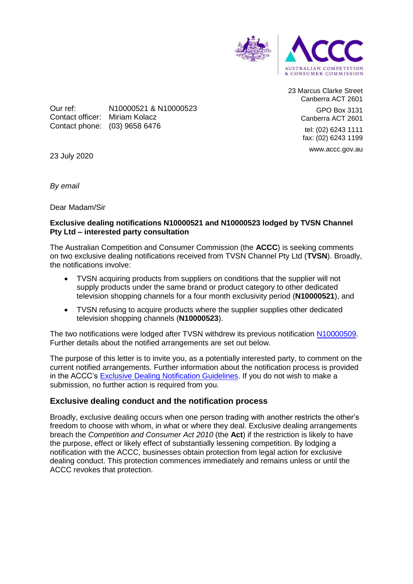

23 Marcus Clarke Street Canberra ACT 2601 GPO Box 3131 Canberra ACT 2601 tel: (02) 6243 1111 fax: (02) 6243 1199 www.accc.gov.au

Our ref: N10000521 & N10000523 Contact officer: Miriam Kolacz Contact phone: (03) 9658 6476

23 July 2020

*By email*

Dear Madam/Sir

## **Exclusive dealing notifications N10000521 and N10000523 lodged by TVSN Channel Pty Ltd – interested party consultation**

The Australian Competition and Consumer Commission (the **ACCC**) is seeking comments on two exclusive dealing notifications received from TVSN Channel Pty Ltd (**TVSN**). Broadly, the notifications involve:

- TVSN acquiring products from suppliers on conditions that the supplier will not supply products under the same brand or product category to other dedicated television shopping channels for a four month exclusivity period (**N10000521**), and
- TVSN refusing to acquire products where the supplier supplies other dedicated television shopping channels (**N10000523**).

The two notifications were lodged after TVSN withdrew its previous notification [N10000509.](https://www.accc.gov.au/public-registers/authorisations-and-notifications-registers/exclusive-dealing-notifications-register/tvsn-channel-pty-ltd) Further details about the notified arrangements are set out below.

The purpose of this letter is to invite you, as a potentially interested party, to comment on the current notified arrangements. Further information about the notification process is provided in the ACCC's [Exclusive Dealing Notification Guidelines.](https://www.accc.gov.au/publications/exclusive-dealing-notification-guidelines) If you do not wish to make a submission, no further action is required from you.

# **Exclusive dealing conduct and the notification process**

Broadly, exclusive dealing occurs when one person trading with another restricts the other's freedom to choose with whom, in what or where they deal. Exclusive dealing arrangements breach the *Competition and Consumer Act 2010* (the **Act**) if the restriction is likely to have the purpose, effect or likely effect of substantially lessening competition. By lodging a notification with the ACCC, businesses obtain protection from legal action for exclusive dealing conduct. This protection commences immediately and remains unless or until the ACCC revokes that protection.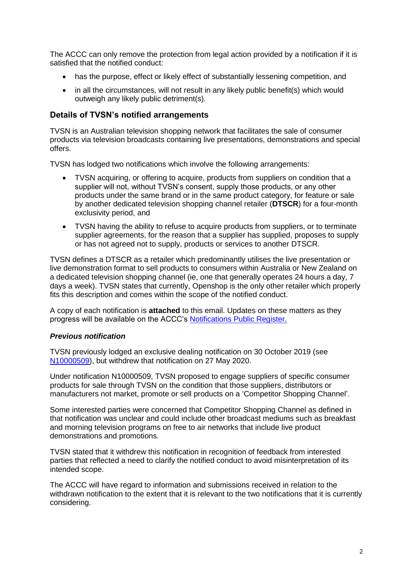The ACCC can only remove the protection from legal action provided by a notification if it is satisfied that the notified conduct:

- has the purpose, effect or likely effect of substantially lessening competition, and
- in all the circumstances, will not result in any likely public benefit(s) which would outweigh any likely public detriment(s).

### **Details of TVSN's notified arrangements**

TVSN is an Australian television shopping network that facilitates the sale of consumer products via television broadcasts containing live presentations, demonstrations and special offers.

TVSN has lodged two notifications which involve the following arrangements:

- TVSN acquiring, or offering to acquire, products from suppliers on condition that a supplier will not, without TVSN's consent, supply those products, or any other products under the same brand or in the same product category, for feature or sale by another dedicated television shopping channel retailer (**DTSCR**) for a four-month exclusivity period, and
- TVSN having the ability to refuse to acquire products from suppliers, or to terminate supplier agreements, for the reason that a supplier has supplied, proposes to supply or has not agreed not to supply, products or services to another DTSCR.

TVSN defines a DTSCR as a retailer which predominantly utilises the live presentation or live demonstration format to sell products to consumers within Australia or New Zealand on a dedicated television shopping channel (ie, one that generally operates 24 hours a day, 7 days a week). TVSN states that currently, Openshop is the only other retailer which properly fits this description and comes within the scope of the notified conduct.

A copy of each notification is **attached** to this email. Updates on these matters as they progress will be available on the ACCC's [Notifications Public Register.](https://www.accc.gov.au/public-registers/authorisations-and-notifications-registers/exclusive-dealing-notifications-register/tvsn-channel-pty-ltd-0)

#### *Previous notification*

TVSN previously lodged an exclusive dealing notification on 30 October 2019 (see [N10000509\)](https://www.accc.gov.au/public-registers/authorisations-and-notifications-registers/exclusive-dealing-notifications-register/tvsn-channel-pty-ltd), but withdrew that notification on 27 May 2020.

Under notification N10000509, TVSN proposed to engage suppliers of specific consumer products for sale through TVSN on the condition that those suppliers, distributors or manufacturers not market, promote or sell products on a 'Competitor Shopping Channel'.

Some interested parties were concerned that Competitor Shopping Channel as defined in that notification was unclear and could include other broadcast mediums such as breakfast and morning television programs on free to air networks that include live product demonstrations and promotions.

TVSN stated that it withdrew this notification in recognition of feedback from interested parties that reflected a need to clarify the notified conduct to avoid misinterpretation of its intended scope.

The ACCC will have regard to information and submissions received in relation to the withdrawn notification to the extent that it is relevant to the two notifications that it is currently considering.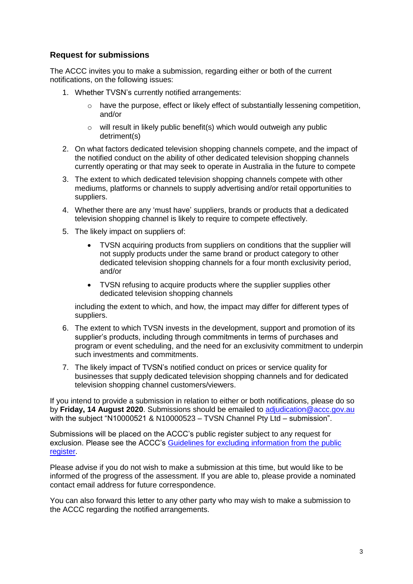# **Request for submissions**

The ACCC invites you to make a submission, regarding either or both of the current notifications, on the following issues:

- 1. Whether TVSN's currently notified arrangements:
	- $\circ$  have the purpose, effect or likely effect of substantially lessening competition, and/or
	- o will result in likely public benefit(s) which would outweigh any public detriment(s)
- 2. On what factors dedicated television shopping channels compete, and the impact of the notified conduct on the ability of other dedicated television shopping channels currently operating or that may seek to operate in Australia in the future to compete
- 3. The extent to which dedicated television shopping channels compete with other mediums, platforms or channels to supply advertising and/or retail opportunities to suppliers.
- 4. Whether there are any 'must have' suppliers, brands or products that a dedicated television shopping channel is likely to require to compete effectively.
- 5. The likely impact on suppliers of:
	- TVSN acquiring products from suppliers on conditions that the supplier will not supply products under the same brand or product category to other dedicated television shopping channels for a four month exclusivity period, and/or
	- TVSN refusing to acquire products where the supplier supplies other dedicated television shopping channels

including the extent to which, and how, the impact may differ for different types of suppliers.

- 6. The extent to which TVSN invests in the development, support and promotion of its supplier's products, including through commitments in terms of purchases and program or event scheduling, and the need for an exclusivity commitment to underpin such investments and commitments.
- 7. The likely impact of TVSN's notified conduct on prices or service quality for businesses that supply dedicated television shopping channels and for dedicated television shopping channel customers/viewers.

If you intend to provide a submission in relation to either or both notifications, please do so by **Friday, 14 August 2020**. Submissions should be emailed to [adjudication@accc.gov.au](mailto:adjudication@accc.gov.au) with the subject "N10000521 & N10000523 – TVSN Channel Pty Ltd – submission".

Submissions will be placed on the ACCC's public register subject to any request for exclusion. Please see the ACCC's Guidelines for excluding information from the public [register.](https://www.accc.gov.au/publications/guidelines-for-excluding-confidential-information-from-the-public-register-for-authorisation-and-notification-processes)

Please advise if you do not wish to make a submission at this time, but would like to be informed of the progress of the assessment. If you are able to, please provide a nominated contact email address for future correspondence.

You can also forward this letter to any other party who may wish to make a submission to the ACCC regarding the notified arrangements.